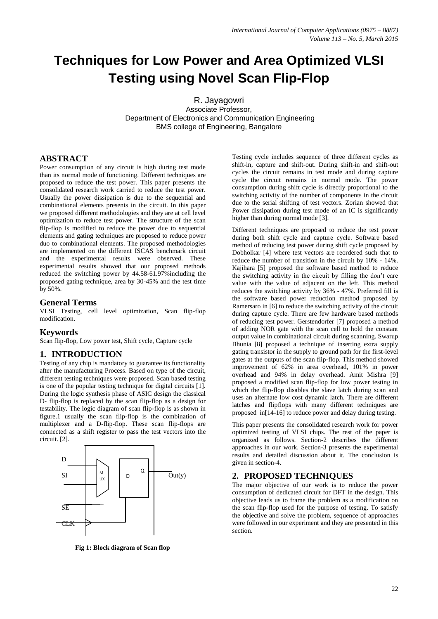# **Techniques for Low Power and Area Optimized VLSI Testing using Novel Scan Flip-Flop**

R. Jayagowri Associate Professor, Department of Electronics and Communication Engineering BMS college of Engineering, Bangalore

# **ABSTRACT**

Power consumption of any circuit is high during test mode than its normal mode of functioning. Different techniques are proposed to reduce the test power. This paper presents the consolidated research work carried to reduce the test power. Usually the power dissipation is due to the sequential and combinational elements presents in the circuit. In this paper we proposed different methodologies and they are at cell level optimization to reduce test power. The structure of the scan flip-flop is modified to reduce the power due to sequential elements and gating techniques are proposed to reduce power duo to combinational elements. The proposed methodologies are implemented on the different ISCAS benchmark circuit and the experimental results were observed. These experimental results showed that our proposed methods reduced the switching power by 44.58-61.97%including the proposed gating technique, area by 30-45% and the test time by 50%.

# **General Terms**

VLSI Testing, cell level optimization, Scan flip-flop modification.

# **Keywords**

Scan flip-flop, Low power test, Shift cycle, Capture cycle

# **1. INTRODUCTION**

Testing of any chip is mandatory to guarantee its functionality after the manufacturing Process. Based on type of the circuit, different testing techniques were proposed. Scan based testing is one of the popular testing technique for digital circuits [1]. During the logic synthesis phase of ASIC design the classical D- flip-flop is replaced by the scan flip-flop as a design for testability. The logic diagram of scan flip-flop is as shown in figure.1 usually the scan flip-flop is the combination of multiplexer and a D-flip-flop. These scan flip-flops are connected as a shift register to pass the test vectors into the circuit. [2].



**Fig 1: Block diagram of Scan flop**

Testing cycle includes sequence of three different cycles as shift-in, capture and shift-out. During shift-in and shift-out cycles the circuit remains in test mode and during capture cycle the circuit remains in normal mode. The power consumption during shift cycle is directly proportional to the switching activity of the number of components in the circuit due to the serial shifting of test vectors. Zorian showed that Power dissipation during test mode of an IC is significantly higher than during normal mode [3].

Different techniques are proposed to reduce the test power during both shift cycle and capture cycle. Software based method of reducing test power during shift cycle proposed by Dobholkar [4] where test vectors are reordered such that to reduce the number of transition in the circuit by 10% - 14%. Kajihara [5] proposed the software based method to reduce the switching activity in the circuit by filling the don"t care value with the value of adjacent on the left. This method reduces the switching activity by 36% - 47%. Preferred fill is the software based power reduction method proposed by Ramersaro in [6] to reduce the switching activity of the circuit during capture cycle. There are few hardware based methods of reducing test power. Gerstendorfer [7] proposed a method of adding NOR gate with the scan cell to hold the constant output value in combinational circuit during scanning. Swarup Bhunia [8] proposed a technique of inserting extra supply gating transistor in the supply to ground path for the first-level gates at the outputs of the scan flip-flop. This method showed improvement of 62% in area overhead, 101% in power overhead and 94% in delay overhead. Amit Mishra [9] proposed a modified scan flip-flop for low power testing in which the flip-flop disables the slave latch during scan and uses an alternate low cost dynamic latch. There are different latches and flipflops with many different techniques are proposed in[14-16] to reduce power and delay during testing.

This paper presents the consolidated research work for power optimized testing of VLSI chips. The rest of the paper is organized as follows. Section-2 describes the different approaches in our work. Section-3 presents the experimental results and detailed discussion about it. The conclusion is given in section-4.

# **2. PROPOSED TECHNIQUES**

The major objective of our work is to reduce the power consumption of dedicated circuit for DFT in the design. This objective leads us to frame the problem as a modification on the scan flip-flop used for the purpose of testing. To satisfy the objective and solve the problem, sequence of approaches were followed in our experiment and they are presented in this section.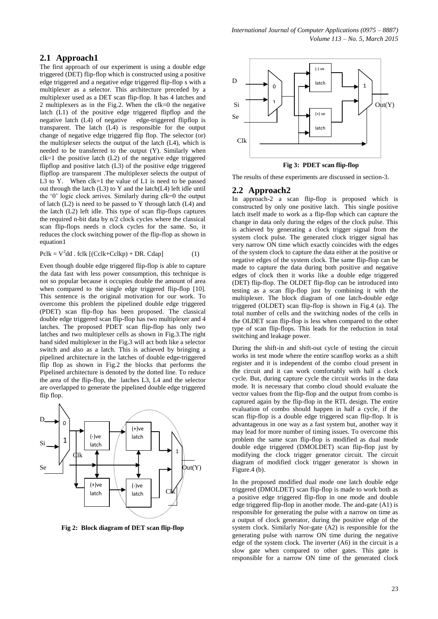The first approach of our experiment is using a double edge triggered (DET) flip-flop which is constructed using a positive edge triggered and a negative edge triggered flip-flop s with a multiplexer as a selector. This architecture preceded by a multiplexer used as a DET scan flip-flop. It has 4 latches and 2 multiplexers as in the Fig.2. When the clk=0 the negative latch (L1) of the positive edge triggered flipflop and the negative latch (L4) of negative edge-triggered flipflop is transparent. The latch (L4) is responsible for the output change of negative edge triggered flip flop. The selector (or) the multiplexer selects the output of the latch (L4), which is needed to be transferred to the output (Y). Similarly when  $clk=1$  the positive latch  $(L2)$  of the negative edge triggered flipflop and positive latch (L3) of the positive edge triggered flipflop are transparent .The multiplexer selects the output of L3 to Y. When  $clk=1$  the value of L1 is need to be passed out through the latch (L3) to Y and the latch(L4) left idle until the "0" logic clock arrives. Similarly during clk=0 the output of latch (L2) is need to be passed to Y through latch (L4) and the latch (L2) left idle. This type of scan flip-flops captures the required n-bit data by n/2 clock cycles where the classical scan flip-flops needs n clock cycles for the same. So, it reduces the clock switching power of the flip-flop as shown in equation1

$$
Pclk = V2dd . fclk [(Cclk + Cclkp) + DR. Cdap]
$$
 (1)

Even though double edge triggered flip-flop is able to capture the data fast with less power consumption, this technique is not so popular because it occupies double the amount of area when compared to the single edge triggered flip-flop [10]. This sentence is the original motivation for our work. To overcome this problem the pipelined double edge triggered (PDET) scan flip-flop has been proposed. The classical double edge triggered scan flip-flop has two multiplexer and 4 latches. The proposed PDET scan flip-flop has only two latches and two multiplexer cells as shown in Fig.3.The right hand sided multiplexer in the Fig.3 will act both like a selector switch and also as a latch. This is achieved by bringing a pipelined architecture in the latches of double edge-triggered flip flop as shown in Fig.2 the blocks that performs the Pipelined architecture is denoted by the dotted line. To reduce the area of the flip-flop, the latches L3, L4 and the selector are overlapped to generate the pipelined double edge triggered flip flop.



**Fig 2: Block diagram of DET scan flip-flop**



The results of these experiments are discussed in section-3.

#### **2.2 Approach2**

In approach-2 a scan flip-flop is proposed which is constructed by only one positive latch. This single positive latch itself made to work as a flip-flop which can capture the change in data only during the edges of the clock pulse. This is achieved by generating a clock trigger signal from the system clock pulse. The generated clock trigger signal has very narrow ON time which exactly coincides with the edges of the system clock to capture the data either at the positive or negative edges of the system clock. The same flip-flop can be made to capture the data during both positive and negative edges of clock then it works like a double edge triggered (DET) flip-flop. The OLDET flip-flop can be introduced into testing as a scan flip-flop just by combining it with the multiplexer. The block diagram of one latch-double edge triggered (OLDET) scan flip-flop is shown in Fig.4 (a). The total number of cells and the switching nodes of the cells in the OLDET scan flip-flop is less when compared to the other type of scan flip-flops. This leads for the reduction in total switching and leakage power.

During the shift-in and shift-out cycle of testing the circuit works in test mode where the entire scanflop works as a shift register and it is independent of the combo cloud present in the circuit and it can work comfortably with half a clock cycle. But, during capture cycle the circuit works in the data mode. It is necessary that combo cloud should evaluate the vector values from the flip-flop and the output from combo is captured again by the flip-flop in the RTL design. The entire evaluation of combo should happen in half a cycle, if the scan flip-flop is a double edge triggered scan flip-flop. It is advantageous in one way as a fast system but, another way it may lead for more number of timing issues. To overcome this problem the same scan flip-flop is modified as dual mode double edge triggered (DMOLDET) scan flip-flop just by modifying the clock trigger generator circuit. The circuit diagram of modified clock trigger generator is shown in Figure.4 (b).

In the proposed modified dual mode one latch double edge triggered (DMOLDET) scan flip-flop is made to work both as a positive edge triggered flip-flop in one mode and double edge triggered flip-flop in another mode. The and-gate (A1) is responsible for generating the pulse with a narrow on time as a output of clock generator, during the positive edge of the system clock. Similarly Nor-gate (A2) is responsible for the generating pulse with narrow ON time during the negative edge of the system clock. The inverter (A6) in the circuit is a slow gate when compared to other gates. This gate is responsible for a narrow ON time of the generated clock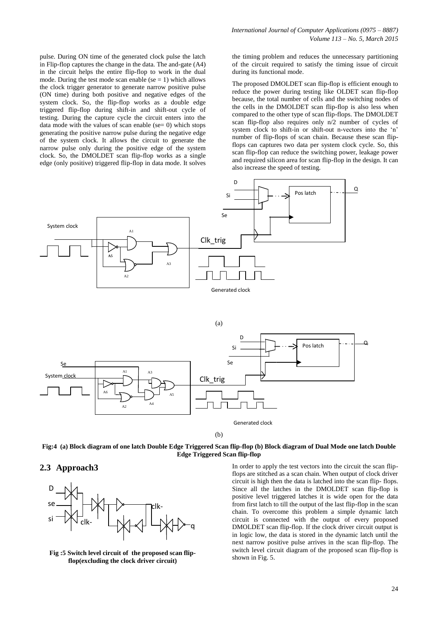pulse. During ON time of the generated clock pulse the latch in Flip-flop captures the change in the data. The and-gate (A4) in the circuit helps the entire flip-flop to work in the dual mode. During the test mode scan enable ( $se = 1$ ) which allows the clock trigger generator to generate narrow positive pulse (ON time) during both positive and negative edges of the system clock. So, the flip-flop works as a double edge triggered flip-flop during shift-in and shift-out cycle of testing. During the capture cycle the circuit enters into the data mode with the values of scan enable ( $se= 0$ ) which stops generating the positive narrow pulse during the negative edge of the system clock. It allows the circuit to generate the narrow pulse only during the positive edge of the system clock. So, the DMOLDET scan flip-flop works as a single edge (only positive) triggered flip-flop in data mode. It solves

the timing problem and reduces the unnecessary partitioning of the circuit required to satisfy the timing issue of circuit during its functional mode.

The proposed DMOLDET scan flip-flop is efficient enough to reduce the power during testing like OLDET scan flip-flop because, the total number of cells and the switching nodes of the cells in the DMOLDET scan flip-flop is also less when compared to the other type of scan flip-flops. The DMOLDET scan flip-flop also requires only n/2 number of cycles of system clock to shift-in or shift-out n-vectors into the "n" number of flip-flops of scan chain. Because these scan flipflops can captures two data per system clock cycle. So, this scan flip-flop can reduce the switching power, leakage power and required silicon area for scan flip-flop in the design. It can also increase the speed of testing.





(b)

**Fig:4 (a) Block diagram of one latch Double Edge Triggered Scan flip-flop (b) Block diagram of Dual Mode one latch Double Edge Triggered Scan flip-flop**

### **2.3 Approach3**



**Fig :5 Switch level circuit of the proposed scan flipflop(excluding the clock driver circuit)**

In order to apply the test vectors into the circuit the scan flipflops are stitched as a scan chain. When output of clock driver circuit is high then the data is latched into the scan flip- flops. Since all the latches in the DMOLDET scan flip-flop is positive level triggered latches it is wide open for the data from first latch to till the output of the last flip-flop in the scan chain. To overcome this problem a simple dynamic latch circuit is connected with the output of every proposed DMOLDET scan flip-flop. If the clock driver circuit output is in logic low, the data is stored in the dynamic latch until the next narrow positive pulse arrives in the scan flip-flop. The switch level circuit diagram of the proposed scan flip-flop is shown in Fig. 5.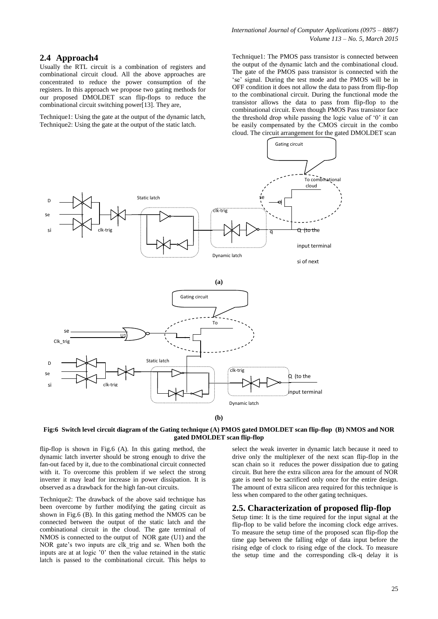# **2.4 Approach4**

Usually the RTL circuit is a combination of registers and combinational circuit cloud. All the above approaches are concentrated to reduce the power consumption of the registers. In this approach we propose two gating methods for our proposed DMOLDET scan flip-flops to reduce the combinational circuit switching power[13]. They are,

Technique1: Using the gate at the output of the dynamic latch, Technique2: Using the gate at the output of the static latch.

Technique1: The PMOS pass transistor is connected between the output of the dynamic latch and the combinational cloud. The gate of the PMOS pass transistor is connected with the "se" signal. During the test mode and the PMOS will be in OFF condition it does not allow the data to pass from flip-flop to the combinational circuit. During the functional mode the transistor allows the data to pass from flip-flop to the combinational circuit. Even though PMOS Pass transistor face the threshold drop while passing the logic value of "0" it can be easily compensated by the CMOS circuit in the combo cloud. The circuit arrangement for the gated DMOLDET scan



**(b)**

#### **Fig:6 Switch level circuit diagram of the Gating technique (A) PMOS gated DMOLDET scan flip-flop (B) NMOS and NOR gated DMOLDET scan flip-flop**

flip-flop is shown in Fig.6 (A). In this gating method, the dynamic latch inverter should be strong enough to drive the fan-out faced by it, due to the combinational circuit connected with it. To overcome this problem if we select the strong inverter it may lead for increase in power dissipation. It is observed as a drawback for the high fan-out circuits.

Technique2: The drawback of the above said technique has been overcome by further modifying the gating circuit as shown in Fig.6 (B). In this gating method the NMOS can be connected between the output of the static latch and the combinational circuit in the cloud. The gate terminal of NMOS is connected to the output of NOR gate (U1) and the NOR gate's two inputs are clk trig and se. When both the inputs are at at logic "0" then the value retained in the static latch is passed to the combinational circuit. This helps to

select the weak inverter in dynamic latch because it need to drive only the multiplexer of the next scan flip-flop in the scan chain so it reduces the power dissipation due to gating circuit. But here the extra silicon area for the amount of NOR gate is need to be sacrificed only once for the entire design. The amount of extra silicon area required for this technique is less when compared to the other gating techniques.

#### **2.5. Characterization of proposed flip-flop**

Setup time: It is the time required for the input signal at the flip-flop to be valid before the incoming clock edge arrives. To measure the setup time of the proposed scan flip-flop the time gap between the falling edge of data input before the rising edge of clock to rising edge of the clock. To measure the setup time and the corresponding clk-q delay it is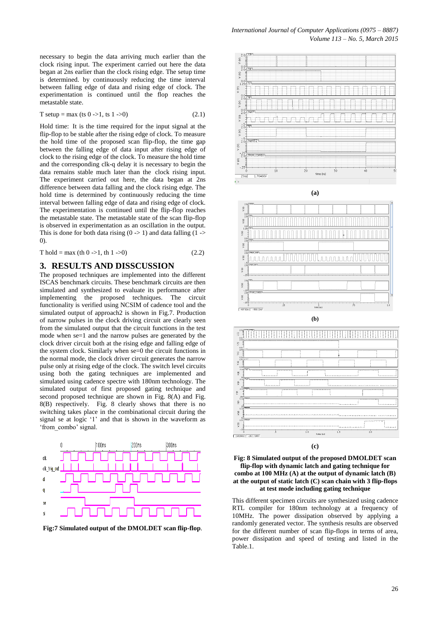necessary to begin the data arriving much earlier than the clock rising input. The experiment carried out here the data began at 2ns earlier than the clock rising edge. The setup time is determined. by continuously reducing the time interval between falling edge of data and rising edge of clock. The experimentation is continued until the flop reaches the metastable state.

$$
T setup = max (ts 0 -> 1, ts 1 -> 0) \tag{2.1}
$$

Hold time: It is the time required for the input signal at the flip-flop to be stable after the rising edge of clock. To measure the hold time of the proposed scan flip-flop, the time gap between the falling edge of data input after rising edge of clock to the rising edge of the clock. To measure the hold time and the corresponding clk-q delay it is necessary to begin the data remains stable much later than the clock rising input. The experiment carried out here, the data began at 2ns difference between data falling and the clock rising edge. The hold time is determined by continuously reducing the time interval between falling edge of data and rising edge of clock. The experimentation is continued until the flip-flop reaches the metastable state. The metastable state of the scan flip-flop is observed in experimentation as an oscillation in the output. This is done for both data rising  $(0 \rightarrow 1)$  and data falling  $(1 \rightarrow$ 0).

$$
T hold = \max (th 0 -> 1, th 1 -> 0) \tag{2.2}
$$

### **3. RESULTS AND DISSCUSSION**

The proposed techniques are implemented into the different ISCAS benchmark circuits. These benchmark circuits are then simulated and synthesized to evaluate its performance after implementing the proposed techniques. The circuit functionality is verified using NCSIM of cadence tool and the simulated output of approach2 is shown in Fig.7. Production of narrow pulses in the clock driving circuit are clearly seen from the simulated output that the circuit functions in the test mode when se=1 and the narrow pulses are generated by the clock driver circuit both at the rising edge and falling edge of the system clock. Similarly when se=0 the circuit functions in the normal mode, the clock driver circuit generates the narrow pulse only at rising edge of the clock. The switch level circuits using both the gating techniques are implemented and simulated using cadence spectre with 180nm technology. The simulated output of first proposed gating technique and second proposed technique are shown in Fig. 8(A) and Fig. 8(B) respectively. Fig. 8 clearly shows that there is no switching takes place in the combinational circuit during the signal se at logic "1" and that is shown in the waveform as 'from combo' signal.



**Fig:7 Simulated output of the DMOLDET scan flip-flop**.





This different specimen circuits are synthesized using cadence RTL compiler for 180nm technology at a frequency of 10MHz. The power dissipation observed by applying a randomly generated vector. The synthesis results are observed for the different number of scan flip-flops in terms of area, power dissipation and speed of testing and listed in the Table.1.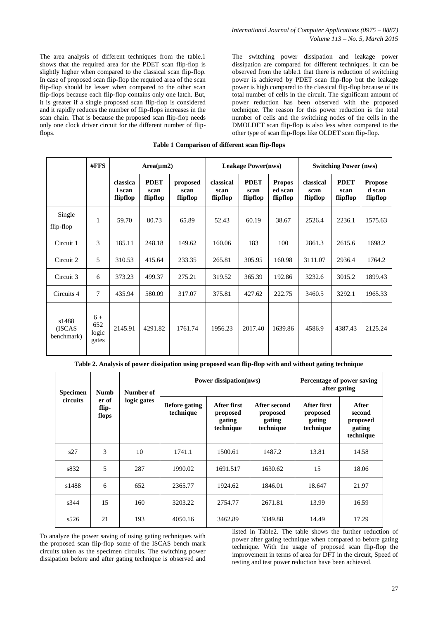The area analysis of different techniques from the table.1 shows that the required area for the PDET scan flip-flop is slightly higher when compared to the classical scan flip-flop. In case of proposed scan flip-flop the required area of the scan flip-flop should be lesser when compared to the other scan flip-flops because each flip-flop contains only one latch. But, it is greater if a single proposed scan flip-flop is considered and it rapidly reduces the number of flip-flops increases in the scan chain. That is because the proposed scan flip-flop needs only one clock driver circuit for the different number of flipflops.

The switching power dissipation and leakage power dissipation are compared for different techniques. It can be observed from the table.1 that there is reduction of switching power is achieved by PDET scan flip-flop but the leakage power is high compared to the classical flip-flop because of its total number of cells in the circuit. The significant amount of power reduction has been observed with the proposed technique. The reason for this power reduction is the total number of cells and the switching nodes of the cells in the DMOLDET scan flip-flop is also less when compared to the other type of scan flip-flops like OLDET scan flip-flop.

#### **Table 1 Comparison of different scan flip-flops**

|                                | #FFS                          | $Area(\mu m2)$                 |                                 |                              | <b>Leakage Power(nws)</b>     |                                 |                                      | <b>Switching Power (nws)</b>  |                                 |                                      |
|--------------------------------|-------------------------------|--------------------------------|---------------------------------|------------------------------|-------------------------------|---------------------------------|--------------------------------------|-------------------------------|---------------------------------|--------------------------------------|
|                                |                               | classica<br>l scan<br>flipflop | <b>PDET</b><br>scan<br>flipflop | proposed<br>scan<br>flipflop | classical<br>scan<br>flipflop | <b>PDET</b><br>scan<br>flipflop | <b>Propos</b><br>ed scan<br>flipflop | classical<br>scan<br>flipflop | <b>PDET</b><br>scan<br>flipflop | <b>Propose</b><br>d scan<br>flipflop |
| Single<br>flip-flop            | 1                             | 59.70                          | 80.73                           | 65.89                        | 52.43                         | 60.19                           | 38.67                                | 2526.4                        | 2236.1                          | 1575.63                              |
| Circuit 1                      | 3                             | 185.11                         | 248.18                          | 149.62                       | 160.06                        | 183                             | 100                                  | 2861.3                        | 2615.6                          | 1698.2                               |
| Circuit 2                      | 5                             | 310.53                         | 415.64                          | 233.35                       | 265.81                        | 305.95                          | 160.98                               | 3111.07                       | 2936.4                          | 1764.2                               |
| Circuit 3                      | 6                             | 373.23                         | 499.37                          | 275.21                       | 319.52                        | 365.39                          | 192.86                               | 3232.6                        | 3015.2                          | 1899.43                              |
| Circuits 4                     | 7                             | 435.94                         | 580.09                          | 317.07                       | 375.81                        | 427.62                          | 222.75                               | 3460.5                        | 3292.1                          | 1965.33                              |
| s1488<br>(ISCAS)<br>benchmark) | $6+$<br>652<br>logic<br>gates | 2145.91                        | 4291.82                         | 1761.74                      | 1956.23                       | 2017.40                         | 1639.86                              | 4586.9                        | 4387.43                         | 2125.24                              |

**Table 2. Analysis of power dissipation using proposed scan flip-flop with and without gating technique**

| <b>Specimen</b> | <b>Numb</b>             | Number of   |                                   | <b>Power dissipation(nws)</b>                         | Percentage of power saving<br>after gating      |                                                |                                                    |
|-----------------|-------------------------|-------------|-----------------------------------|-------------------------------------------------------|-------------------------------------------------|------------------------------------------------|----------------------------------------------------|
| circuits        | er of<br>flip-<br>flops | logic gates | <b>Before gating</b><br>technique | <b>After first</b><br>proposed<br>gating<br>technique | After second<br>proposed<br>gating<br>technique | After first<br>proposed<br>gating<br>technique | After<br>second<br>proposed<br>gating<br>technique |
| s27             | 3                       | 10          | 1741.1                            | 1500.61                                               | 1487.2                                          | 13.81                                          | 14.58                                              |
| s832            | 5                       | 287         | 1990.02                           | 1691.517                                              | 1630.62                                         | 15                                             | 18.06                                              |
| s1488           | 6                       | 652         | 2365.77                           | 1924.62                                               | 1846.01                                         | 18.647                                         | 21.97                                              |
| s344            | 15                      | 160         | 3203.22                           | 2754.77                                               | 2671.81                                         | 13.99                                          | 16.59                                              |
| s526            | 21                      | 193         | 4050.16                           | 3462.89                                               | 3349.88                                         | 14.49                                          | 17.29                                              |

To analyze the power saving of using gating techniques with the proposed scan flip-flop some of the ISCAS bench mark circuits taken as the specimen circuits. The switching power dissipation before and after gating technique is observed and

listed in Table2. The table shows the further reduction of power after gating technique when compared to before gating technique. With the usage of proposed scan flip-flop the improvement in terms of area for DFT in the circuit, Speed of testing and test power reduction have been achieved.